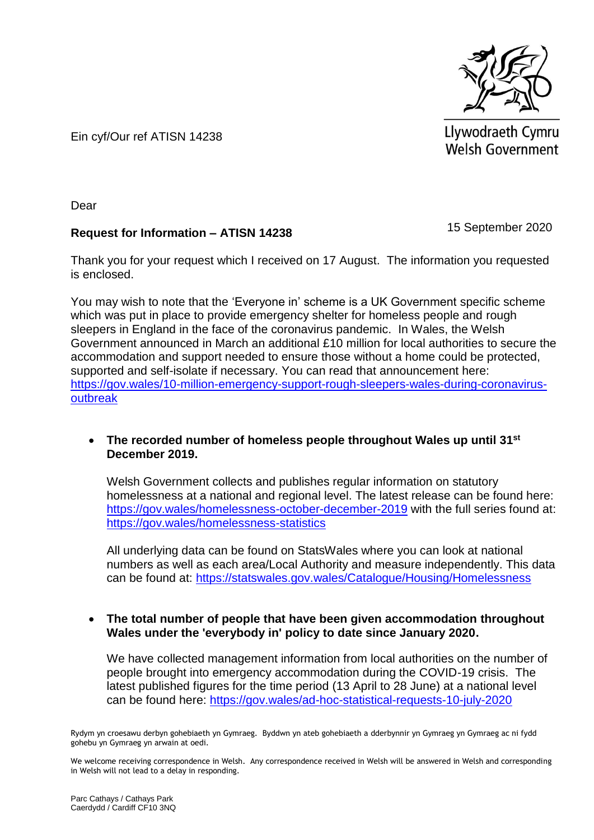

Llywodraeth Cymru Welsh Government

Ein cyf/Our ref ATISN 14238

Dear

# **Request for Information – ATISN 14238**

15 September 2020

Thank you for your request which I received on 17 August. The information you requested is enclosed.

You may wish to note that the 'Everyone in' scheme is a UK Government specific scheme which was put in place to provide emergency shelter for homeless people and rough sleepers in England in the face of the coronavirus pandemic. In Wales, the Welsh Government announced in March an additional £10 million for local authorities to secure the accommodation and support needed to ensure those without a home could be protected, supported and self-isolate if necessary. You can read that announcement here: [https://gov.wales/10-million-emergency-support-rough-sleepers-wales-during-coronavirus](https://gov.wales/10-million-emergency-support-rough-sleepers-wales-during-coronavirus-outbreak)[outbreak](https://gov.wales/10-million-emergency-support-rough-sleepers-wales-during-coronavirus-outbreak)

# **The recorded number of homeless people throughout Wales up until 31st December 2019.**

Welsh Government collects and publishes regular information on statutory homelessness at a national and regional level. The latest release can be found here: [https://gov.wales/homelessness-october-december-2019](https://eur01.safelinks.protection.outlook.com/?url=https%3A%2F%2Fgov.wales%2Fhomelessness-october-december-2019&data=02%7C01%7CMeinir.Edwards2%40gov.wales%7C7f378a367054427865b408d84415ae94%7Ca2cc36c592804ae78887d06dab89216b%7C0%7C0%7C637334207191759352&sdata=CKpVIvhKrMJsMrnZpskLjv89K8GiOej9Wus0LFh9BPk%3D&reserved=0) with the full series found at: [https://gov.wales/homelessness-statistics](https://eur01.safelinks.protection.outlook.com/?url=https%3A%2F%2Fgov.wales%2Fhomelessness-statistics&data=02%7C01%7CMeinir.Edwards2%40gov.wales%7C7f378a367054427865b408d84415ae94%7Ca2cc36c592804ae78887d06dab89216b%7C0%7C0%7C637334207191759352&sdata=PihukhCndSlD%2FWiPxm5M%2BbHOhx%2BwvnSbB9fxzAMiBCU%3D&reserved=0)

All underlying data can be found on StatsWales where you can look at national numbers as well as each area/Local Authority and measure independently. This data can be found at: [https://statswales.gov.wales/Catalogue/Housing/Homelessness](https://eur01.safelinks.protection.outlook.com/?url=https%3A%2F%2Fstatswales.gov.wales%2FCatalogue%2FHousing%2FHomelessness&data=02%7C01%7CMeinir.Edwards2%40gov.wales%7C7f378a367054427865b408d84415ae94%7Ca2cc36c592804ae78887d06dab89216b%7C0%7C0%7C637334207191769349&sdata=0j%2FPdeWKuXbRVFH0YsQ1%2BEklGitCJwCODOHi13FgtnM%3D&reserved=0)

# **The total number of people that have been given accommodation throughout Wales under the 'everybody in' policy to date since January 2020.**

We have collected management information from local authorities on the number of people brought into emergency accommodation during the COVID-19 crisis. The latest published figures for the time period (13 April to 28 June) at a national level can be found here: [https://gov.wales/ad-hoc-statistical-requests-10-july-2020](https://eur01.safelinks.protection.outlook.com/?url=https%3A%2F%2Fgov.wales%2Fad-hoc-statistical-requests-10-july-2020&data=02%7C01%7CMeinir.Edwards2%40gov.wales%7C7f378a367054427865b408d84415ae94%7Ca2cc36c592804ae78887d06dab89216b%7C0%7C0%7C637334207191769349&sdata=nWf12TqoIGyuN5rb8%2BC0%2FccxQfF19fdDsO5jyKWLBEM%3D&reserved=0)

Rydym yn croesawu derbyn gohebiaeth yn Gymraeg. Byddwn yn ateb gohebiaeth a dderbynnir yn Gymraeg yn Gymraeg ac ni fydd gohebu yn Gymraeg yn arwain at oedi.

We welcome receiving correspondence in Welsh. Any correspondence received in Welsh will be answered in Welsh and corresponding in Welsh will not lead to a delay in responding.